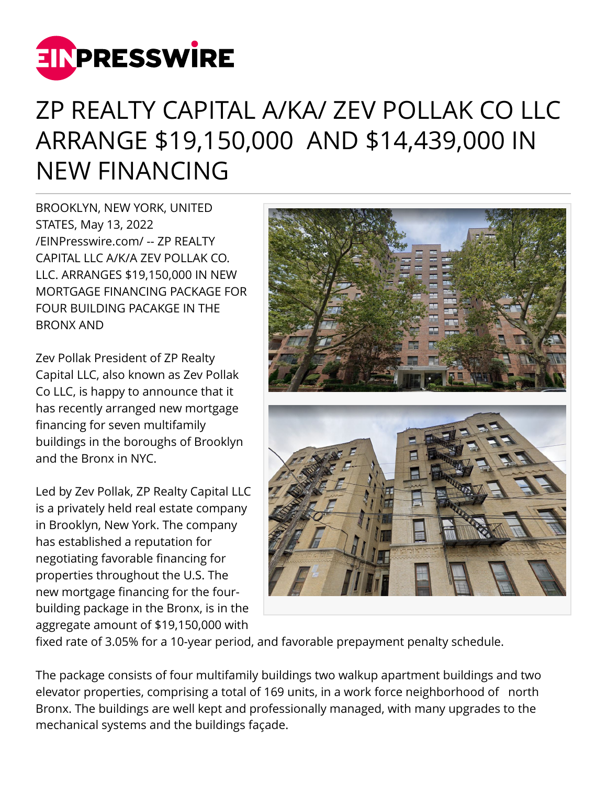

## ZP REALTY CAPITAL A/KA/ ZEV POLLAK CO LLC ARRANGE \$19,150,000 AND \$14,439,000 IN NEW FINANCING

BROOKLYN, NEW YORK, UNITED STATES, May 13, 2022 [/EINPresswire.com/](http://www.einpresswire.com) -- ZP REALTY CAPITAL LLC A/K/A ZEV POLLAK CO. LLC. ARRANGES \$19,150,000 IN NEW MORTGAGE FINANCING PACKAGE FOR FOUR BUILDING PACAKGE IN THE BRONX AND

Zev Pollak President of ZP Realty Capital LLC, also known as Zev Pollak Co LLC, is happy to announce that it has recently arranged new mortgage financing for seven multifamily buildings in the boroughs of Brooklyn and the Bronx in NYC.

Led by Zev Pollak, ZP Realty Capital LLC is a privately held real estate company in Brooklyn, New York. The company has established a reputation for negotiating favorable financing for properties throughout the U.S. The new mortgage financing for the fourbuilding package in the Bronx, is in the aggregate amount of \$19,150,000 with



fixed rate of 3.05% for a 10-year period, and favorable prepayment penalty schedule.

The package consists of four multifamily buildings two walkup apartment buildings and two elevator properties, comprising a total of 169 units, in a work force neighborhood of north Bronx. The buildings are well kept and professionally managed, with many upgrades to the mechanical systems and the buildings façade.